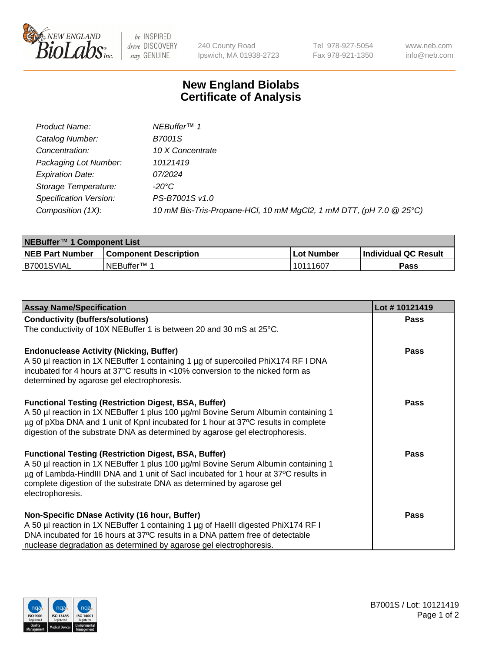

be INSPIRED drive DISCOVERY stay GENUINE

240 County Road Ipswich, MA 01938-2723

Tel 978-927-5054 Fax 978-921-1350 www.neb.com info@neb.com

## **New England Biolabs Certificate of Analysis**

| Product Name:           | NEBuffer <sup>™</sup> 1                                            |
|-------------------------|--------------------------------------------------------------------|
| Catalog Number:         | B7001S                                                             |
| Concentration:          | 10 X Concentrate                                                   |
| Packaging Lot Number:   | 10121419                                                           |
| <b>Expiration Date:</b> | 07/2024                                                            |
| Storage Temperature:    | -20°C                                                              |
| Specification Version:  | PS-B7001S v1.0                                                     |
| Composition (1X):       | 10 mM Bis-Tris-Propane-HCl, 10 mM MgCl2, 1 mM DTT, (pH 7.0 @ 25°C) |

| NEBuffer™ 1 Component List |                              |            |                             |  |
|----------------------------|------------------------------|------------|-----------------------------|--|
| <b>NEB Part Number</b>     | <b>Component Description</b> | Lot Number | <b>Individual QC Result</b> |  |
| IB7001SVIAL                | INEBuffer™ 1                 | 10111607   | Pass                        |  |

| <b>Assay Name/Specification</b>                                                                                                                                                                                                                                                                                                      | Lot #10121419 |
|--------------------------------------------------------------------------------------------------------------------------------------------------------------------------------------------------------------------------------------------------------------------------------------------------------------------------------------|---------------|
| <b>Conductivity (buffers/solutions)</b>                                                                                                                                                                                                                                                                                              | Pass          |
| The conductivity of 10X NEBuffer 1 is between 20 and 30 mS at 25°C.                                                                                                                                                                                                                                                                  |               |
| <b>Endonuclease Activity (Nicking, Buffer)</b><br>A 50 µl reaction in 1X NEBuffer 1 containing 1 µg of supercoiled PhiX174 RF I DNA<br>incubated for 4 hours at 37°C results in <10% conversion to the nicked form as<br>determined by agarose gel electrophoresis.                                                                  | Pass          |
| <b>Functional Testing (Restriction Digest, BSA, Buffer)</b><br>A 50 µl reaction in 1X NEBuffer 1 plus 100 µg/ml Bovine Serum Albumin containing 1<br>µg of pXba DNA and 1 unit of KpnI incubated for 1 hour at 37°C results in complete<br>digestion of the substrate DNA as determined by agarose gel electrophoresis.              | Pass          |
| <b>Functional Testing (Restriction Digest, BSA, Buffer)</b><br>A 50 µl reaction in 1X NEBuffer 1 plus 100 µg/ml Bovine Serum Albumin containing 1<br>µg of Lambda-HindIII DNA and 1 unit of SacI incubated for 1 hour at 37°C results in<br>complete digestion of the substrate DNA as determined by agarose gel<br>electrophoresis. | <b>Pass</b>   |
| Non-Specific DNase Activity (16 hour, Buffer)<br>A 50 µl reaction in 1X NEBuffer 1 containing 1 µg of HaellI digested PhiX174 RF I<br>DNA incubated for 16 hours at 37°C results in a DNA pattern free of detectable<br>nuclease degradation as determined by agarose gel electrophoresis.                                           | Pass          |